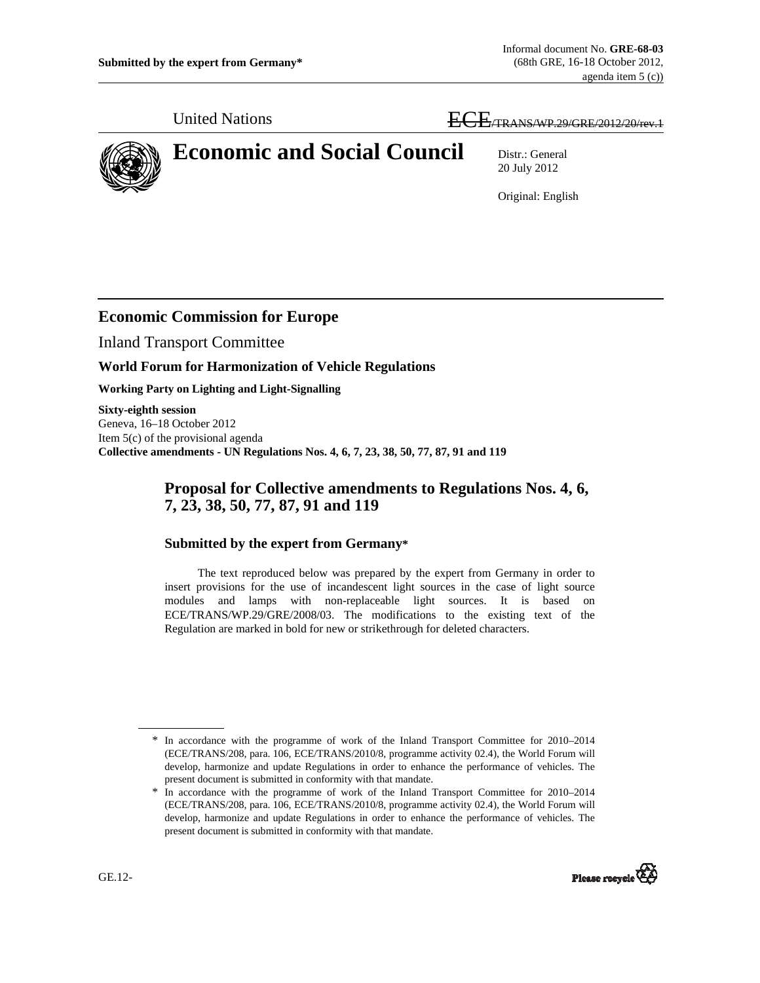United Nations ECE<sub>/TRANS/WP.29/GRE/2012/20/rev.1</sub>



# **Economic and Social Council** Distr.: General

20 July 2012

Original: English

# **Economic Commission for Europe**

Inland Transport Committee

### **World Forum for Harmonization of Vehicle Regulations**

**Working Party on Lighting and Light-Signalling** 

**Sixty-eighth session**  Geneva, 16–18 October 2012 Item 5(c) of the provisional agenda **Collective amendments - UN Regulations Nos. 4, 6, 7, 23, 38, 50, 77, 87, 91 and 119** 

## **Proposal for Collective amendments to Regulations Nos. 4, 6, 7, 23, 38, 50, 77, 87, 91 and 119**

## **Submitted by the expert from Germany\***

 The text reproduced below was prepared by the expert from Germany in order to insert provisions for the use of incandescent light sources in the case of light source modules and lamps with non-replaceable light sources. It is based on ECE/TRANS/WP.29/GRE/2008/03. The modifications to the existing text of the Regulation are marked in bold for new or strikethrough for deleted characters.

<sup>\*</sup> In accordance with the programme of work of the Inland Transport Committee for 2010–2014 (ECE/TRANS/208, para. 106, ECE/TRANS/2010/8, programme activity 02.4), the World Forum will develop, harmonize and update Regulations in order to enhance the performance of vehicles. The present document is submitted in conformity with that mandate.



 $\overline{a}$ 

<sup>\*</sup> In accordance with the programme of work of the Inland Transport Committee for 2010–2014 (ECE/TRANS/208, para. 106, ECE/TRANS/2010/8, programme activity 02.4), the World Forum will develop, harmonize and update Regulations in order to enhance the performance of vehicles. The present document is submitted in conformity with that mandate.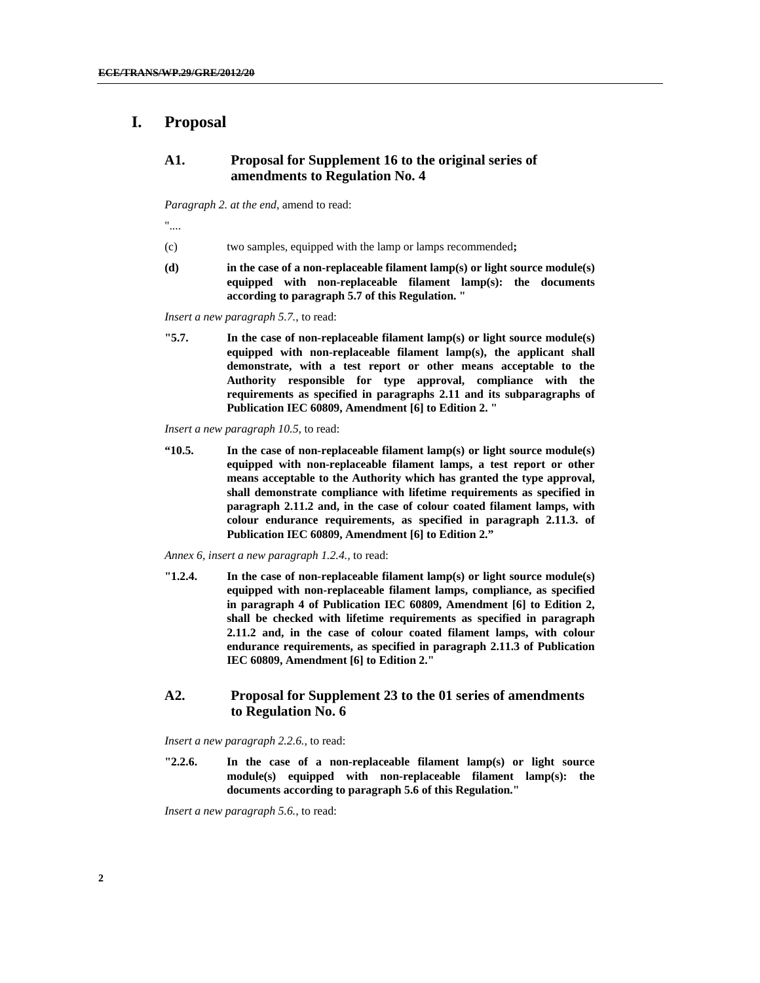## **I. Proposal**

#### **A1. Proposal for Supplement 16 to the original series of amendments to Regulation No. 4**

*Paragraph 2. at the end*, amend to read:

"....

- (c) two samples, equipped with the lamp or lamps recommended**;**
- **(d) in the case of a non-replaceable filament lamp(s) or light source module(s) equipped with non-replaceable filament lamp(s): the documents according to paragraph 5.7 of this Regulation. "**

*Insert a new paragraph 5.7.*, to read:

**"5.7. In the case of non-replaceable filament lamp(s) or light source module(s) equipped with non-replaceable filament lamp(s), the applicant shall demonstrate, with a test report or other means acceptable to the Authority responsible for type approval, compliance with the requirements as specified in paragraphs 2.11 and its subparagraphs of Publication IEC 60809, Amendment [6] to Edition 2. "** 

*Insert a new paragraph 10.5,* to read:

**"10.5. In the case of non-replaceable filament lamp(s) or light source module(s) equipped with non-replaceable filament lamps, a test report or other means acceptable to the Authority which has granted the type approval, shall demonstrate compliance with lifetime requirements as specified in paragraph 2.11.2 and, in the case of colour coated filament lamps, with colour endurance requirements, as specified in paragraph 2.11.3. of Publication IEC 60809, Amendment [6] to Edition 2."**

*Annex 6, insert a new paragraph 1.2.4.,* to read:

**"1.2.4. In the case of non-replaceable filament lamp(s) or light source module(s) equipped with non-replaceable filament lamps, compliance, as specified in paragraph 4 of Publication IEC 60809, Amendment [6] to Edition 2, shall be checked with lifetime requirements as specified in paragraph 2.11.2 and, in the case of colour coated filament lamps, with colour endurance requirements, as specified in paragraph 2.11.3 of Publication IEC 60809, Amendment [6] to Edition 2."** 

#### **A2. Proposal for Supplement 23 to the 01 series of amendments to Regulation No. 6**

*Insert a new paragraph 2.2.6.*, to read:

**"2.2.6. In the case of a non-replaceable filament lamp(s) or light source module(s) equipped with non-replaceable filament lamp(s): the documents according to paragraph 5.6 of this Regulation."** 

*Insert a new paragraph 5.6.,* to read: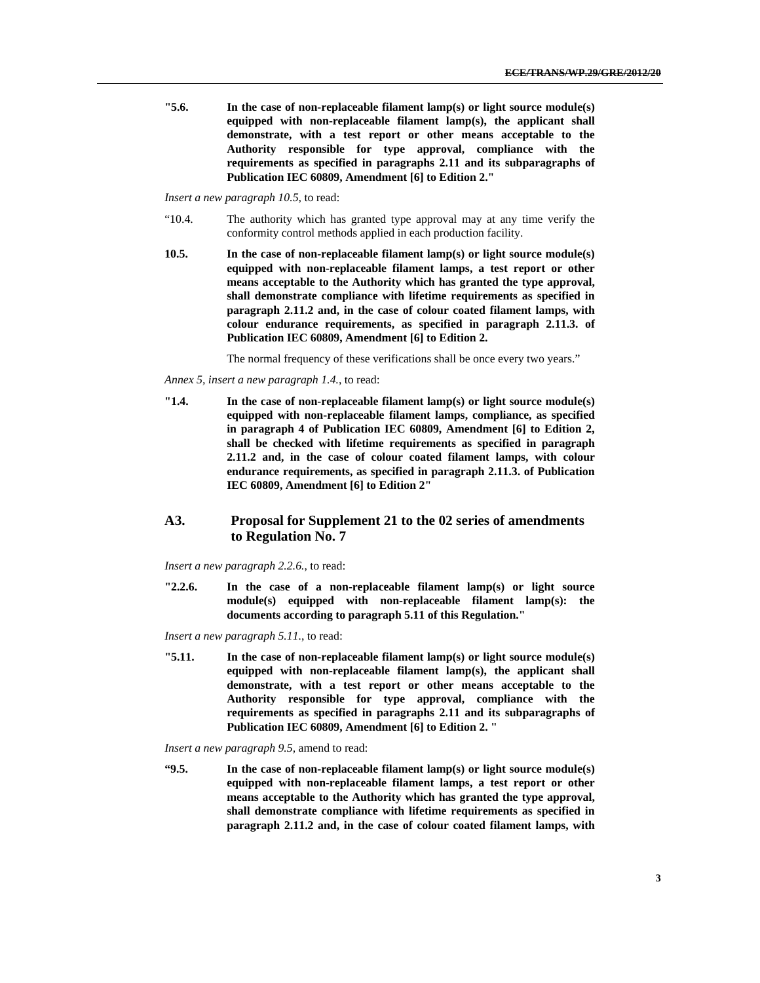**"5.6. In the case of non-replaceable filament lamp(s) or light source module(s) equipped with non-replaceable filament lamp(s), the applicant shall demonstrate, with a test report or other means acceptable to the Authority responsible for type approval, compliance with the requirements as specified in paragraphs 2.11 and its subparagraphs of Publication IEC 60809, Amendment [6] to Edition 2."** 

*Insert a new paragraph 10.5,* to read:

- "10.4. The authority which has granted type approval may at any time verify the conformity control methods applied in each production facility.
- **10.5. In the case of non-replaceable filament lamp(s) or light source module(s) equipped with non-replaceable filament lamps, a test report or other means acceptable to the Authority which has granted the type approval, shall demonstrate compliance with lifetime requirements as specified in paragraph 2.11.2 and, in the case of colour coated filament lamps, with colour endurance requirements, as specified in paragraph 2.11.3. of Publication IEC 60809, Amendment [6] to Edition 2.**

The normal frequency of these verifications shall be once every two years."

*Annex 5, insert a new paragraph 1.4.*, to read:

**"1.4. In the case of non-replaceable filament lamp(s) or light source module(s) equipped with non-replaceable filament lamps, compliance, as specified in paragraph 4 of Publication IEC 60809, Amendment [6] to Edition 2, shall be checked with lifetime requirements as specified in paragraph 2.11.2 and, in the case of colour coated filament lamps, with colour endurance requirements, as specified in paragraph 2.11.3. of Publication IEC 60809, Amendment [6] to Edition 2"** 

#### **A3. Proposal for Supplement 21 to the 02 series of amendments to Regulation No. 7**

*Insert a new paragraph 2.2.6.*, to read:

**"2.2.6. In the case of a non-replaceable filament lamp(s) or light source module(s) equipped with non-replaceable filament lamp(s): the documents according to paragraph 5.11 of this Regulation."** 

*Insert a new paragraph 5.11.*, to read:

**"5.11. In the case of non-replaceable filament lamp(s) or light source module(s) equipped with non-replaceable filament lamp(s), the applicant shall demonstrate, with a test report or other means acceptable to the Authority responsible for type approval, compliance with the requirements as specified in paragraphs 2.11 and its subparagraphs of Publication IEC 60809, Amendment [6] to Edition 2. "** 

*Insert a new paragraph 9.5,* amend to read:

**"9.5. In the case of non-replaceable filament lamp(s) or light source module(s) equipped with non-replaceable filament lamps, a test report or other means acceptable to the Authority which has granted the type approval, shall demonstrate compliance with lifetime requirements as specified in paragraph 2.11.2 and, in the case of colour coated filament lamps, with**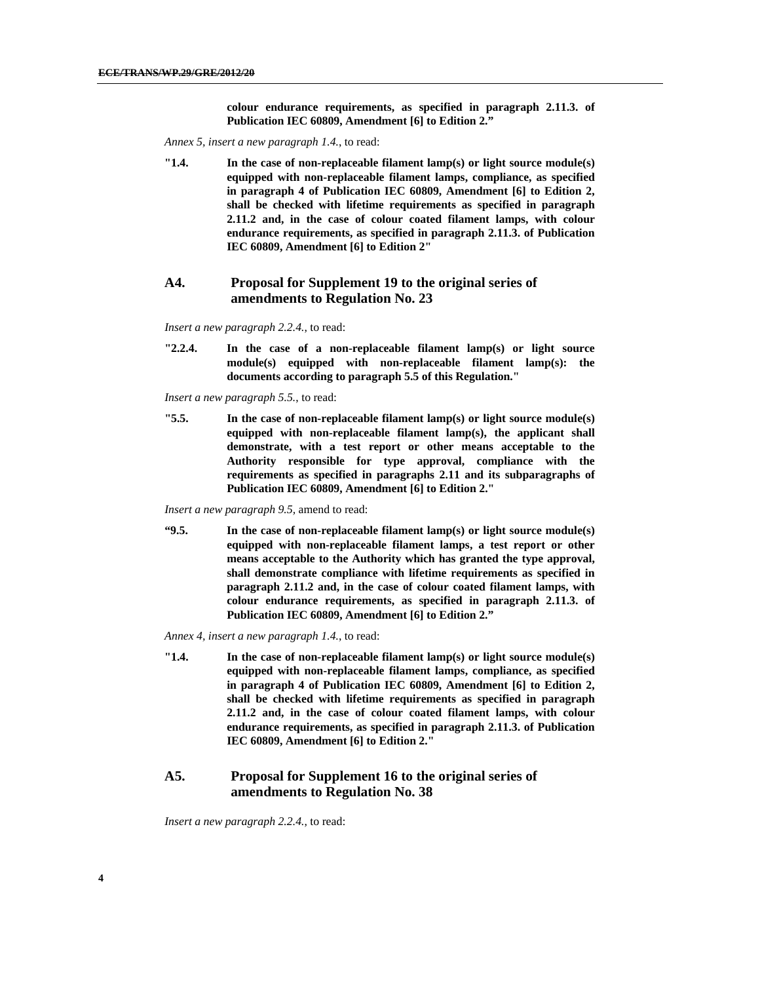**colour endurance requirements, as specified in paragraph 2.11.3. of Publication IEC 60809, Amendment [6] to Edition 2."**

*Annex 5, insert a new paragraph 1.4.*, to read:

**"1.4. In the case of non-replaceable filament lamp(s) or light source module(s) equipped with non-replaceable filament lamps, compliance, as specified in paragraph 4 of Publication IEC 60809, Amendment [6] to Edition 2, shall be checked with lifetime requirements as specified in paragraph 2.11.2 and, in the case of colour coated filament lamps, with colour endurance requirements, as specified in paragraph 2.11.3. of Publication IEC 60809, Amendment [6] to Edition 2"** 

#### **A4. Proposal for Supplement 19 to the original series of amendments to Regulation No. 23**

*Insert a new paragraph 2.2.4.*, to read:

**"2.2.4. In the case of a non-replaceable filament lamp(s) or light source module(s) equipped with non-replaceable filament lamp(s): the documents according to paragraph 5.5 of this Regulation."** 

*Insert a new paragraph 5.5.*, to read:

**"5.5. In the case of non-replaceable filament lamp(s) or light source module(s) equipped with non-replaceable filament lamp(s), the applicant shall demonstrate, with a test report or other means acceptable to the Authority responsible for type approval, compliance with the requirements as specified in paragraphs 2.11 and its subparagraphs of Publication IEC 60809, Amendment [6] to Edition 2."** 

*Insert a new paragraph 9.5,* amend to read:

**"9.5. In the case of non-replaceable filament lamp(s) or light source module(s) equipped with non-replaceable filament lamps, a test report or other means acceptable to the Authority which has granted the type approval, shall demonstrate compliance with lifetime requirements as specified in paragraph 2.11.2 and, in the case of colour coated filament lamps, with colour endurance requirements, as specified in paragraph 2.11.3. of Publication IEC 60809, Amendment [6] to Edition 2."**

*Annex 4, insert a new paragraph 1.4.*, to read:

**"1.4. In the case of non-replaceable filament lamp(s) or light source module(s) equipped with non-replaceable filament lamps, compliance, as specified in paragraph 4 of Publication IEC 60809, Amendment [6] to Edition 2, shall be checked with lifetime requirements as specified in paragraph 2.11.2 and, in the case of colour coated filament lamps, with colour endurance requirements, as specified in paragraph 2.11.3. of Publication IEC 60809, Amendment [6] to Edition 2."** 

#### **A5. Proposal for Supplement 16 to the original series of amendments to Regulation No. 38**

*Insert a new paragraph 2.2.4.*, to read: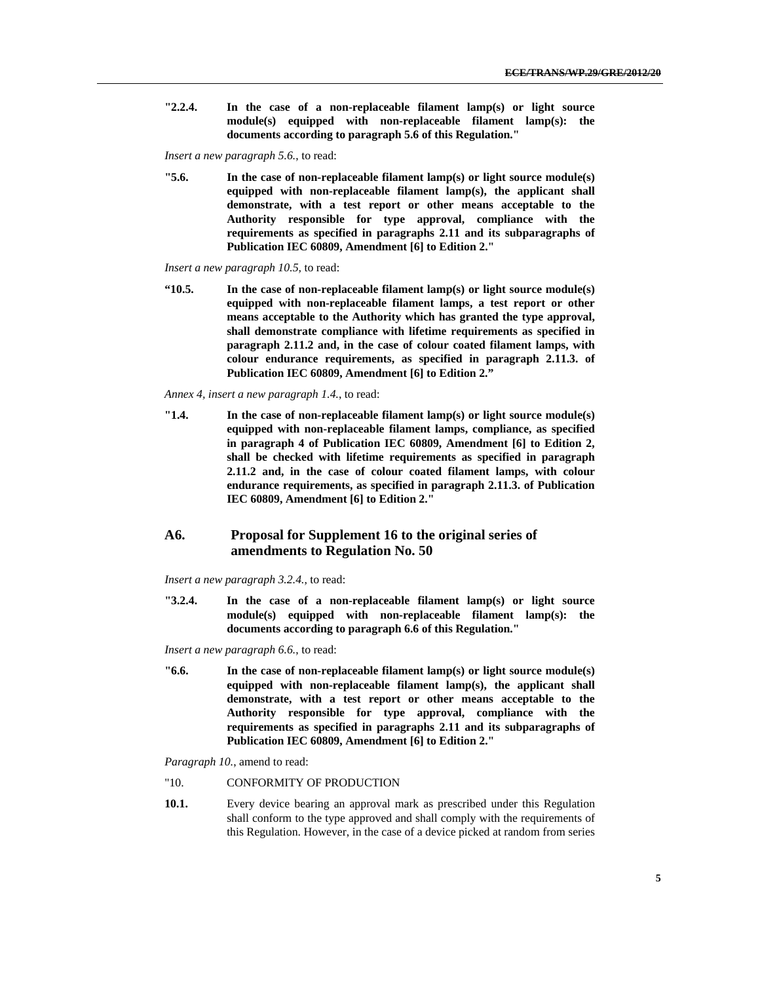**"2.2.4. In the case of a non-replaceable filament lamp(s) or light source module(s) equipped with non-replaceable filament lamp(s): the documents according to paragraph 5.6 of this Regulation."** 

*Insert a new paragraph 5.6.*, to read:

**"5.6. In the case of non-replaceable filament lamp(s) or light source module(s) equipped with non-replaceable filament lamp(s), the applicant shall demonstrate, with a test report or other means acceptable to the Authority responsible for type approval, compliance with the requirements as specified in paragraphs 2.11 and its subparagraphs of Publication IEC 60809, Amendment [6] to Edition 2."** 

*Insert a new paragraph 10.5,* to read:

**"10.5. In the case of non-replaceable filament lamp(s) or light source module(s) equipped with non-replaceable filament lamps, a test report or other means acceptable to the Authority which has granted the type approval, shall demonstrate compliance with lifetime requirements as specified in paragraph 2.11.2 and, in the case of colour coated filament lamps, with colour endurance requirements, as specified in paragraph 2.11.3. of Publication IEC 60809, Amendment [6] to Edition 2."**

*Annex 4, insert a new paragraph 1.4.*, to read:

**"1.4. In the case of non-replaceable filament lamp(s) or light source module(s) equipped with non-replaceable filament lamps, compliance, as specified in paragraph 4 of Publication IEC 60809, Amendment [6] to Edition 2, shall be checked with lifetime requirements as specified in paragraph 2.11.2 and, in the case of colour coated filament lamps, with colour endurance requirements, as specified in paragraph 2.11.3. of Publication IEC 60809, Amendment [6] to Edition 2."** 

#### **A6. Proposal for Supplement 16 to the original series of amendments to Regulation No. 50**

*Insert a new paragraph 3.2.4.*, to read:

**"3.2.4. In the case of a non-replaceable filament lamp(s) or light source module(s) equipped with non-replaceable filament lamp(s): the documents according to paragraph 6.6 of this Regulation."** 

*Insert a new paragraph 6.6.*, to read:

**"6.6. In the case of non-replaceable filament lamp(s) or light source module(s) equipped with non-replaceable filament lamp(s), the applicant shall demonstrate, with a test report or other means acceptable to the Authority responsible for type approval, compliance with the requirements as specified in paragraphs 2.11 and its subparagraphs of Publication IEC 60809, Amendment [6] to Edition 2."** 

*Paragraph 10.*, amend to read:

- "10. CONFORMITY OF PRODUCTION
- **10.1.** Every device bearing an approval mark as prescribed under this Regulation shall conform to the type approved and shall comply with the requirements of this Regulation. However, in the case of a device picked at random from series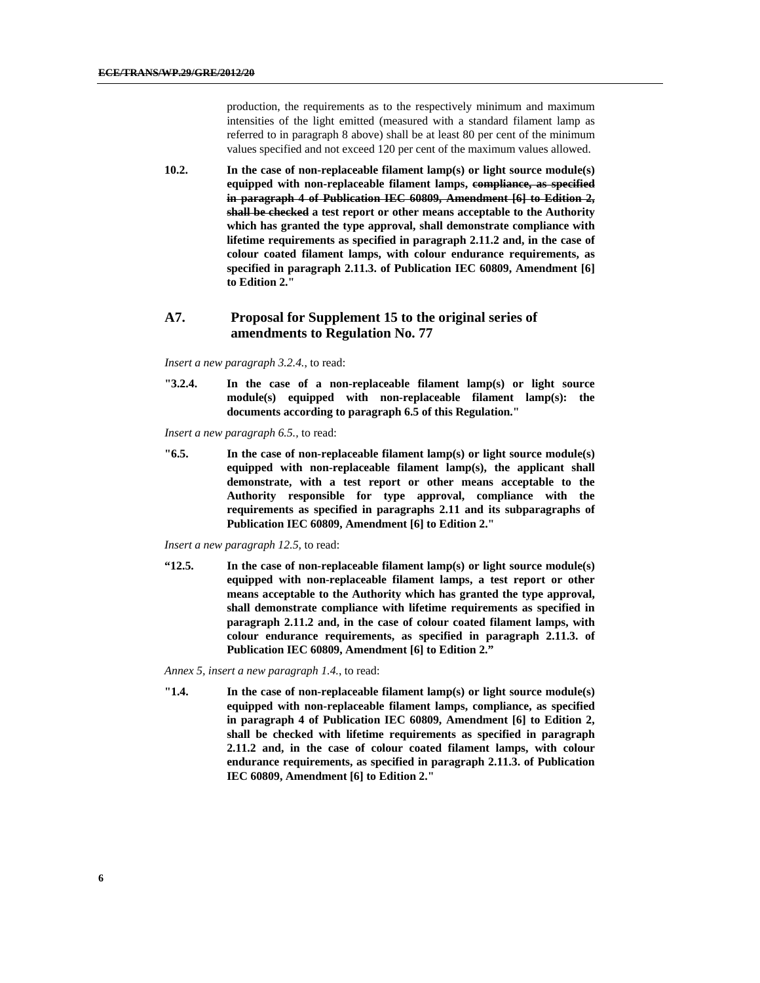production, the requirements as to the respectively minimum and maximum intensities of the light emitted (measured with a standard filament lamp as referred to in paragraph 8 above) shall be at least 80 per cent of the minimum values specified and not exceed 120 per cent of the maximum values allowed.

**10.2. In the case of non-replaceable filament lamp(s) or light source module(s) equipped with non-replaceable filament lamps, compliance, as specified in paragraph 4 of Publication IEC 60809, Amendment [6] to Edition 2, shall be checked a test report or other means acceptable to the Authority which has granted the type approval, shall demonstrate compliance with lifetime requirements as specified in paragraph 2.11.2 and, in the case of colour coated filament lamps, with colour endurance requirements, as specified in paragraph 2.11.3. of Publication IEC 60809, Amendment [6] to Edition 2."** 

#### **A7. Proposal for Supplement 15 to the original series of amendments to Regulation No. 77**

*Insert a new paragraph 3.2.4.*, to read:

**"3.2.4. In the case of a non-replaceable filament lamp(s) or light source module(s) equipped with non-replaceable filament lamp(s): the documents according to paragraph 6.5 of this Regulation."** 

*Insert a new paragraph 6.5.,* to read:

**"6.5. In the case of non-replaceable filament lamp(s) or light source module(s) equipped with non-replaceable filament lamp(s), the applicant shall demonstrate, with a test report or other means acceptable to the Authority responsible for type approval, compliance with the requirements as specified in paragraphs 2.11 and its subparagraphs of Publication IEC 60809, Amendment [6] to Edition 2."** 

*Insert a new paragraph 12.5,* to read:

**"12.5. In the case of non-replaceable filament lamp(s) or light source module(s) equipped with non-replaceable filament lamps, a test report or other means acceptable to the Authority which has granted the type approval, shall demonstrate compliance with lifetime requirements as specified in paragraph 2.11.2 and, in the case of colour coated filament lamps, with colour endurance requirements, as specified in paragraph 2.11.3. of Publication IEC 60809, Amendment [6] to Edition 2."**

*Annex 5, insert a new paragraph 1.4.*, to read:

**"1.4. In the case of non-replaceable filament lamp(s) or light source module(s) equipped with non-replaceable filament lamps, compliance, as specified in paragraph 4 of Publication IEC 60809, Amendment [6] to Edition 2, shall be checked with lifetime requirements as specified in paragraph 2.11.2 and, in the case of colour coated filament lamps, with colour endurance requirements, as specified in paragraph 2.11.3. of Publication IEC 60809, Amendment [6] to Edition 2."**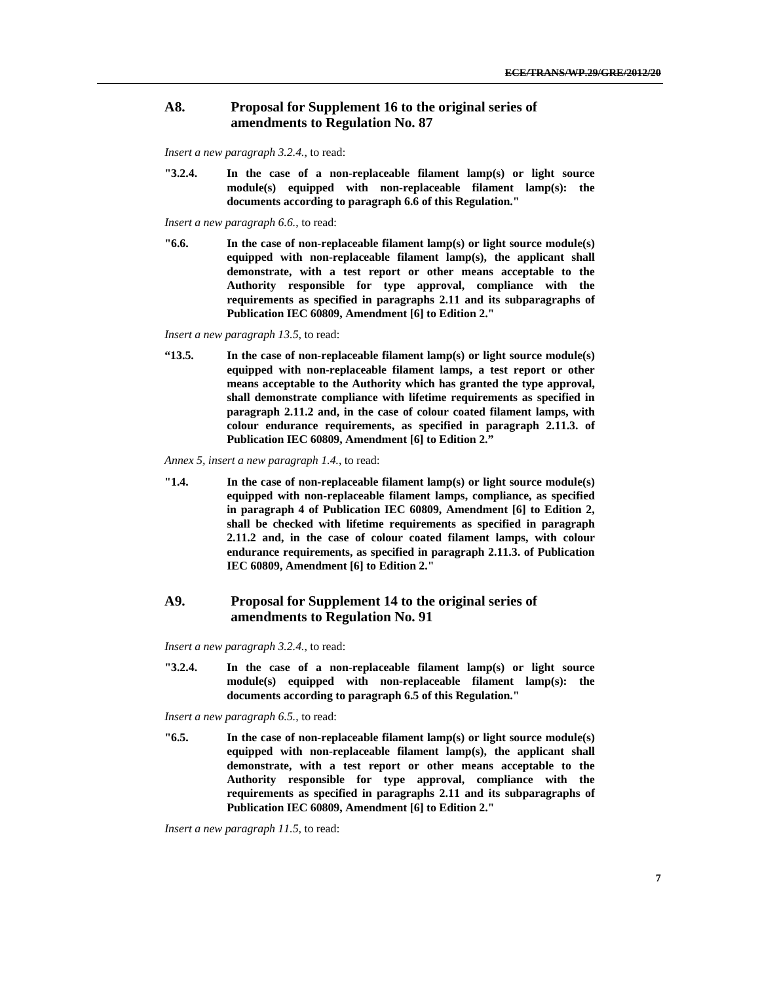#### **A8. Proposal for Supplement 16 to the original series of amendments to Regulation No. 87**

*Insert a new paragraph 3.2.4.*, to read:

**"3.2.4. In the case of a non-replaceable filament lamp(s) or light source module(s) equipped with non-replaceable filament lamp(s): the documents according to paragraph 6.6 of this Regulation."** 

*Insert a new paragraph 6.6.*, to read:

**"6.6. In the case of non-replaceable filament lamp(s) or light source module(s) equipped with non-replaceable filament lamp(s), the applicant shall demonstrate, with a test report or other means acceptable to the Authority responsible for type approval, compliance with the requirements as specified in paragraphs 2.11 and its subparagraphs of Publication IEC 60809, Amendment [6] to Edition 2."** 

*Insert a new paragraph 13.5,* to read:

**"13.5. In the case of non-replaceable filament lamp(s) or light source module(s) equipped with non-replaceable filament lamps, a test report or other means acceptable to the Authority which has granted the type approval, shall demonstrate compliance with lifetime requirements as specified in paragraph 2.11.2 and, in the case of colour coated filament lamps, with colour endurance requirements, as specified in paragraph 2.11.3. of Publication IEC 60809, Amendment [6] to Edition 2."**

*Annex 5, insert a new paragraph 1.4.*, to read:

**"1.4. In the case of non-replaceable filament lamp(s) or light source module(s) equipped with non-replaceable filament lamps, compliance, as specified in paragraph 4 of Publication IEC 60809, Amendment [6] to Edition 2, shall be checked with lifetime requirements as specified in paragraph 2.11.2 and, in the case of colour coated filament lamps, with colour endurance requirements, as specified in paragraph 2.11.3. of Publication IEC 60809, Amendment [6] to Edition 2."** 

#### **A9. Proposal for Supplement 14 to the original series of amendments to Regulation No. 91**

*Insert a new paragraph 3.2.4.*, to read:

**"3.2.4. In the case of a non-replaceable filament lamp(s) or light source module(s) equipped with non-replaceable filament lamp(s): the documents according to paragraph 6.5 of this Regulation."** 

*Insert a new paragraph 6.5.*, to read:

**"6.5. In the case of non-replaceable filament lamp(s) or light source module(s) equipped with non-replaceable filament lamp(s), the applicant shall demonstrate, with a test report or other means acceptable to the Authority responsible for type approval, compliance with the requirements as specified in paragraphs 2.11 and its subparagraphs of Publication IEC 60809, Amendment [6] to Edition 2."** 

*Insert a new paragraph 11.5,* to read: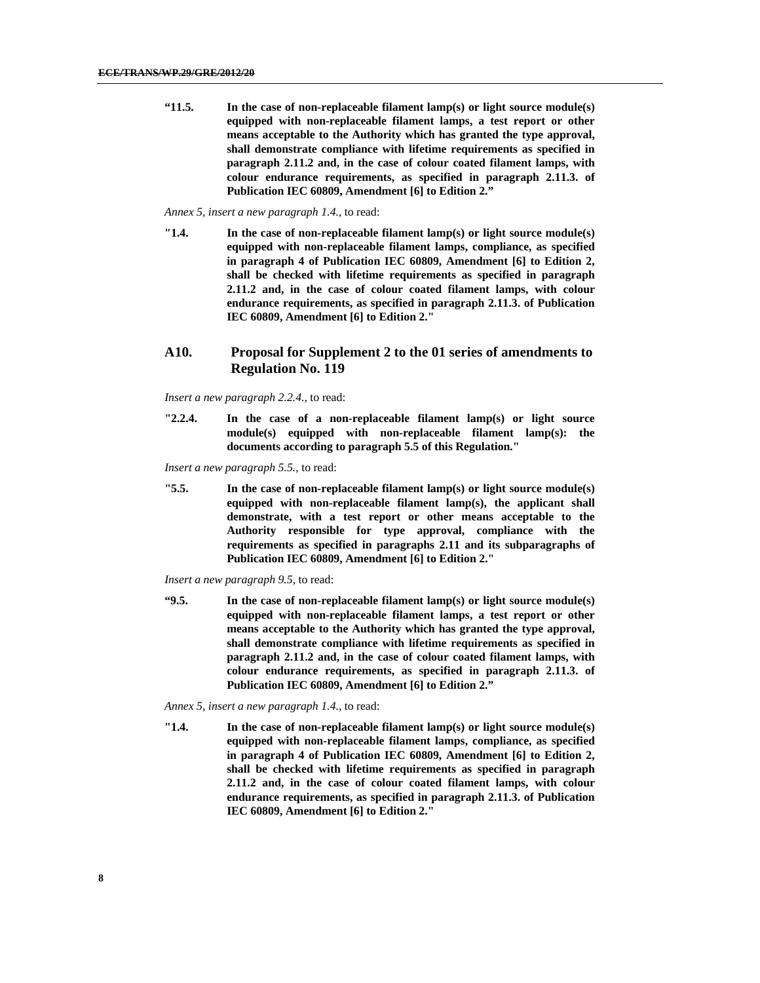**"11.5. In the case of non-replaceable filament lamp(s) or light source module(s) equipped with non-replaceable filament lamps, a test report or other means acceptable to the Authority which has granted the type approval, shall demonstrate compliance with lifetime requirements as specified in paragraph 2.11.2 and, in the case of colour coated filament lamps, with colour endurance requirements, as specified in paragraph 2.11.3. of Publication IEC 60809, Amendment [6] to Edition 2."**

#### *Annex 5, insert a new paragraph 1.4.*, to read:

**"1.4. In the case of non-replaceable filament lamp(s) or light source module(s) equipped with non-replaceable filament lamps, compliance, as specified in paragraph 4 of Publication IEC 60809, Amendment [6] to Edition 2, shall be checked with lifetime requirements as specified in paragraph 2.11.2 and, in the case of colour coated filament lamps, with colour endurance requirements, as specified in paragraph 2.11.3. of Publication IEC 60809, Amendment [6] to Edition 2."** 

#### **A10. Proposal for Supplement 2 to the 01 series of amendments to Regulation No. 119**

*Insert a new paragraph 2.2.4.*, to read:

**"2.2.4. In the case of a non-replaceable filament lamp(s) or light source module(s) equipped with non-replaceable filament lamp(s): the documents according to paragraph 5.5 of this Regulation."** 

*Insert a new paragraph 5.5.*, to read:

**"5.5. In the case of non-replaceable filament lamp(s) or light source module(s) equipped with non-replaceable filament lamp(s), the applicant shall demonstrate, with a test report or other means acceptable to the Authority responsible for type approval, compliance with the requirements as specified in paragraphs 2.11 and its subparagraphs of Publication IEC 60809, Amendment [6] to Edition 2."** 

*Insert a new paragraph 9.5,* to read:

**"9.5. In the case of non-replaceable filament lamp(s) or light source module(s) equipped with non-replaceable filament lamps, a test report or other means acceptable to the Authority which has granted the type approval, shall demonstrate compliance with lifetime requirements as specified in paragraph 2.11.2 and, in the case of colour coated filament lamps, with colour endurance requirements, as specified in paragraph 2.11.3. of Publication IEC 60809, Amendment [6] to Edition 2."**

*Annex 5, insert a new paragraph 1.4.*, to read:

**"1.4. In the case of non-replaceable filament lamp(s) or light source module(s) equipped with non-replaceable filament lamps, compliance, as specified in paragraph 4 of Publication IEC 60809, Amendment [6] to Edition 2, shall be checked with lifetime requirements as specified in paragraph 2.11.2 and, in the case of colour coated filament lamps, with colour endurance requirements, as specified in paragraph 2.11.3. of Publication IEC 60809, Amendment [6] to Edition 2."**